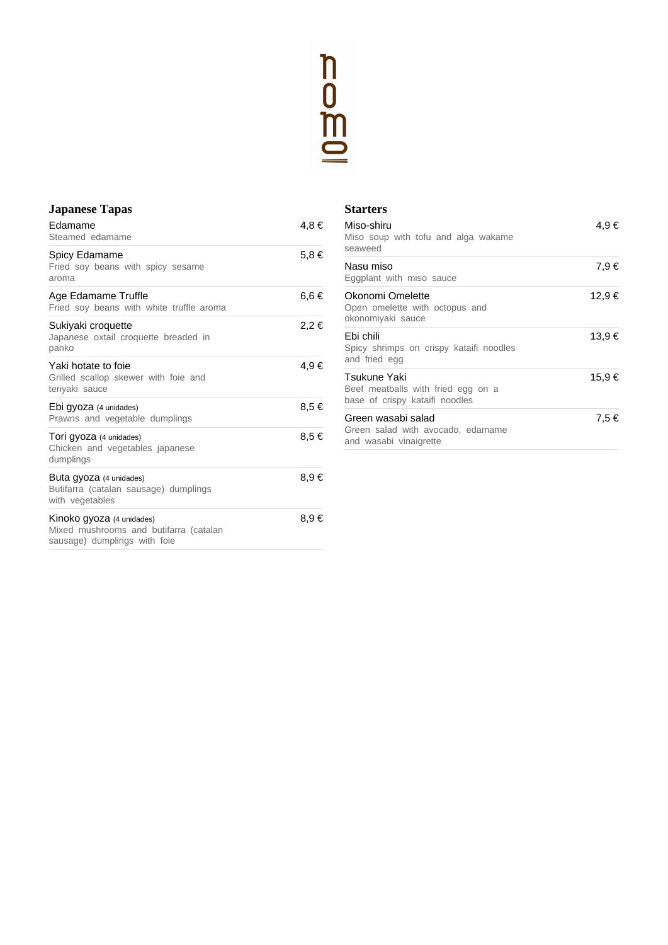

### **Japanese Tapas**

| Edamame<br>Steamed edamame                                                                          | 4,8 €     |
|-----------------------------------------------------------------------------------------------------|-----------|
| Spicy Edamame<br>Fried soy beans with spicy sesame<br>aroma                                         | $5.8 \in$ |
| Age Edamame Truffle<br>Fried soy beans with white truffle aroma                                     | 6,6€      |
| Sukiyaki croquette<br>Japanese oxtail croquette breaded in<br>panko                                 | 2,2 €     |
| Yaki hotate to foie<br>Grilled scallop skewer with foie and<br>teriyaki sauce                       | 4,9 €     |
| Ebi gyoza (4 unidades)<br>Prawns and vegetable dumplings                                            | 8.5 €     |
| Tori gyoza (4 unidades)<br>Chicken and vegetables japanese<br>dumplings                             | 8,5 €     |
| Buta gyoza (4 unidades)<br>Butifarra (catalan sausage) dumplings<br>with vegetables                 | 8,9€      |
| Kinoko gyoza (4 unidades)<br>Mixed mushrooms and butifarra (catalan<br>sausage) dumplings with foie | 8,9€      |

#### **Starters**

| Miso-shiru<br>Miso soup with tofu and alga wakame<br>seaweed                         | 4,9€   |
|--------------------------------------------------------------------------------------|--------|
| Nasu miso<br>Eggplant with miso sauce                                                | 7,9€   |
| Okonomi Omelette<br>Open omelette with octopus and<br>okonomiyaki sauce              | 12,9 € |
| Ebi chili<br>Spicy shrimps on crispy kataifi noodles<br>and fried egg                | 13,9 € |
| Tsukune Yaki<br>Beef meatballs with fried egg on a<br>base of crispy kataifi noodles | 15,9 € |
| Green wasabi salad<br>Green salad with avocado, edamame<br>and wasabi vinaigrette    | 7,5 €  |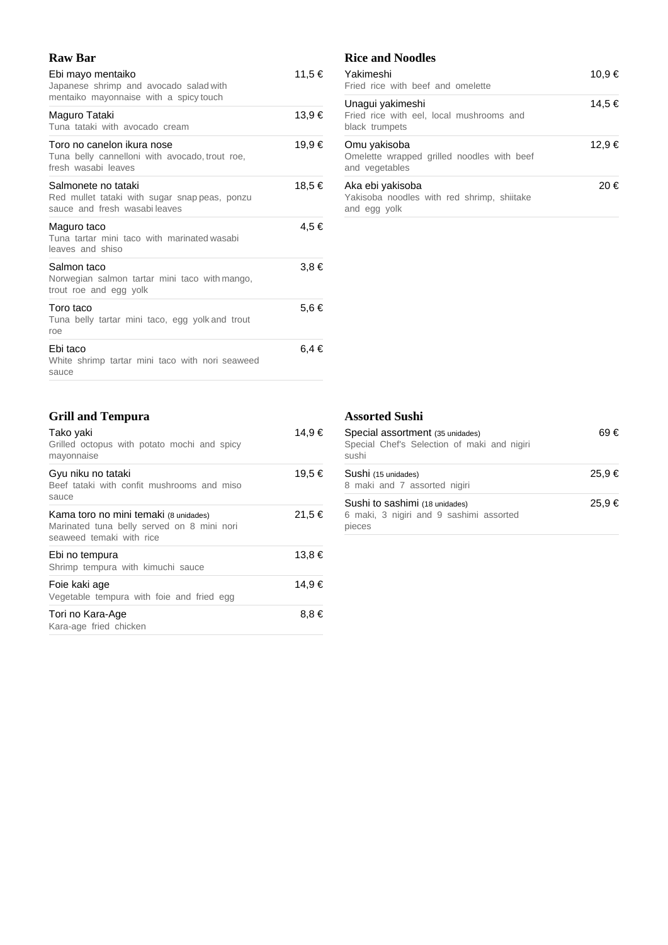## **Raw Bar**

| Ebi mayo mentaiko<br>Japanese shrimp and avocado salad with<br>mentaiko mayonnaise with a spicy touch | 11,5 €    |
|-------------------------------------------------------------------------------------------------------|-----------|
| Maguro Tataki<br>Tuna tataki with avocado cream                                                       | 13,9 €    |
| Toro no canelon ikura nose<br>Tuna belly cannelloni with avocado, trout roe,<br>fresh wasabi leaves   | 19,9 €    |
| Salmonete no tataki<br>Red mullet tataki with sugar snappeas, ponzu<br>sauce and fresh wasabileaves   | 18,5 €    |
| Maguro taco<br>Tuna tartar mini taco with marinated wasabi<br>leaves and shiso                        | 4.5 €     |
| Salmon taco<br>Norwegian salmon tartar mini taco with mango,<br>trout roe and egg yolk                | $3.8 \in$ |
| Toro taco<br>Tuna belly tartar mini taco, egg yolk and trout<br>roe                                   | 5,6 €     |
| Ebi taco<br>White shrimp tartar mini taco with nori seaweed<br>sauce                                  | 6.4 €     |

## **Rice and Noodles**

| Yakimeshi<br>Fried rice with beef and omelette                                 | 10.9 € |
|--------------------------------------------------------------------------------|--------|
| Unagui yakimeshi<br>Fried rice with eel, local mushrooms and<br>black trumpets | 14,5 € |
| Omu yakisoba<br>Omelette wrapped grilled noodles with beef<br>and vegetables   | 12.9 € |
| Aka ebi yakisoba<br>Yakisoba noodles with red shrimp, shiitake<br>and egg yolk | 20€    |

# **Grill and Tempura**

| Tako yaki<br>Grilled octopus with potato mochi and spicy<br>mayonnaise                                          | 14,9 € |
|-----------------------------------------------------------------------------------------------------------------|--------|
| Gyu niku no tataki<br>Beef tataki with confit mushrooms and miso<br>sauce                                       | 19,5 € |
| Kama toro no mini temaki (8 unidades)<br>Marinated tuna belly served on 8 mini nori<br>seaweed temaki with rice | 21,5 € |
| Ebi no tempura<br>Shrimp tempura with kimuchi sauce                                                             | 13,8 € |
| Foie kaki age<br>Vegetable tempura with foie and fried egg                                                      | 14,9 € |
| Tori no Kara-Age<br>Kara-age fried chicken                                                                      | 8,8€   |

#### **Assorted Sushi**

| Special assortment (35 unidades)<br>Special Chef's Selection of maki and nigiri<br>sushi | 69€    |
|------------------------------------------------------------------------------------------|--------|
| Sushi (15 unidades)<br>8 maki and 7 assorted nigiri                                      | 25.9€  |
| Sushi to sashimi (18 unidades)<br>6 maki, 3 nigiri and 9 sashimi assorted<br>pieces      | 25,9 € |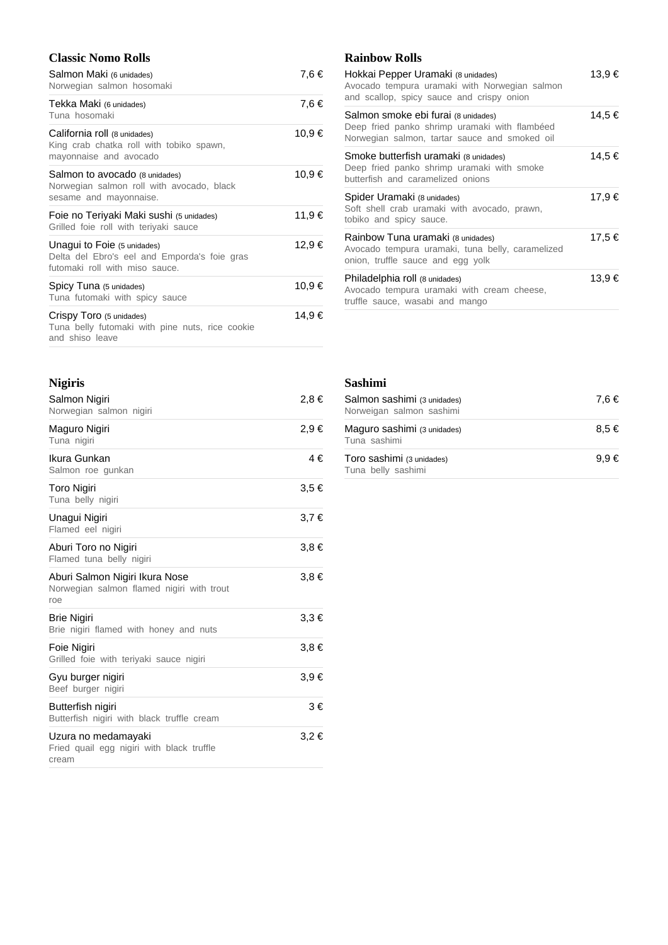### **Classic Nomo Rolls**

| Salmon Maki (6 unidades)<br>Norwegian salmon hosomaki                                                         | 7,6 €  |
|---------------------------------------------------------------------------------------------------------------|--------|
| Tekka Maki (6 unidades)<br>Tuna hosomaki                                                                      | 7,6 €  |
| California roll (8 unidades)<br>King crab chatka roll with tobiko spawn,<br>mayonnaise and avocado            | 10,9 € |
| Salmon to avocado (8 unidades)<br>Norwegian salmon roll with avocado, black<br>sesame and mayonnaise.         | 10,9 € |
| Foie no Teriyaki Maki sushi (5 unidades)<br>Grilled foie roll with teriyaki sauce                             | 11,9 € |
| Unagui to Foie (5 unidades)<br>Delta del Ebro's eel and Emporda's foie gras<br>futomaki roll with miso sauce. | 12,9 € |
| Spicy Tuna (5 unidades)<br>Tuna futomaki with spicy sauce                                                     | 10,9 € |
| Crispy Toro (5 unidades)<br>Tuna belly futomaki with pine nuts, rice cookie<br>and shiso leave                | 14,9 € |

| <b>Nigiris</b>                                                                     |           |
|------------------------------------------------------------------------------------|-----------|
| Salmon Nigiri<br>Norwegian salmon nigiri                                           | 2,8 €     |
| Maguro Nigiri<br>Tuna nigiri                                                       | 2,9 €     |
| Ikura Gunkan<br>Salmon roe gunkan                                                  | 4€        |
| <b>Toro Nigiri</b><br>Tuna belly nigiri                                            | 3,5 €     |
| Unagui Nigiri<br>Flamed eel nigiri                                                 | 3.7€      |
| Aburi Toro no Nigiri<br>Flamed tuna belly nigiri                                   | $3.8 \in$ |
| Aburi Salmon Nigiri Ikura Nose<br>Norwegian salmon flamed nigiri with trout<br>roe | $3.8 \in$ |
| <b>Brie Nigiri</b><br>Brie nigiri flamed with honey and nuts                       | $3,3 \in$ |
| Foie Nigiri<br>Grilled foie with teriyaki sauce nigiri                             | $3.8 \in$ |
| Gyu burger nigiri<br>Beef burger nigiri                                            | $3.9 \in$ |
| Butterfish nigiri<br>Butterfish nigiri with black truffle cream                    | 3€        |
| Uzura no medamayaki<br>Fried quail egg nigiri with black truffle<br>cream          | $3,2 \in$ |

### **Rainbow Rolls**

| Hokkai Pepper Uramaki (8 unidades)<br>Avocado tempura uramaki with Norwegian salmon<br>and scallop, spicy sauce and crispy onion      | 13.9 € |
|---------------------------------------------------------------------------------------------------------------------------------------|--------|
| Salmon smoke ebi furai (8 unidades)<br>Deep fried panko shrimp uramaki with flambéed<br>Norwegian salmon, tartar sauce and smoked oil | 14,5 € |
| Smoke butterfish uramaki (8 unidades)<br>Deep fried panko shrimp uramaki with smoke<br>butterfish and caramelized onions              | 14.5 € |
| Spider Uramaki (8 unidades)<br>Soft shell crab uramaki with avocado, prawn,<br>tobiko and spicy sauce.                                | 17.9 € |
| Rainbow Tuna uramaki (8 unidades)<br>Avocado tempura uramaki, tuna belly, caramelized<br>onion, truffle sauce and egg yolk            | 17,5 € |
| Philadelphia roll (8 unidades)<br>Avocado tempura uramaki with cream cheese,<br>truffle sauce, wasabi and mango                       | 13.9 € |

#### **Sashimi**

| Salmon sashimi (3 unidades)<br>Norweigan salmon sashimi | 7.6 €     |
|---------------------------------------------------------|-----------|
| Maguro sashimi (3 unidades)<br>Tuna sashimi             | $8.5 \in$ |
| Toro sashimi (3 unidades)<br>Tuna belly sashimi         | $9.9 \in$ |